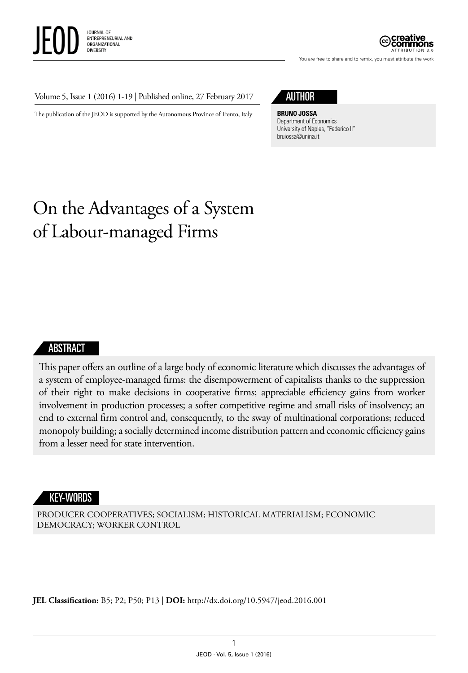

ATTRIBUTION 3.0

You are free to share and to remix, you must attribute the work

#### Volume 5, Issue 1 (2016) 1-19 | Published online, 27 February 2017

The publication of the JEOD is supported by the Autonomous Province of Trento, Italy

# AUTHOR

**BRUNO JOSSA** Department of Economics University of Naples, "Federico II" [bruiossa@unina.it](mailto:bruiossa@unina.it)

# On the Advantages of a System of Labour-managed Firms

#### ABSTRACT

This paper offers an outline of a large body of economic literature which discusses the advantages of a system of employee-managed firms: the disempowerment of capitalists thanks to the suppression of their right to make decisions in cooperative firms; appreciable efficiency gains from worker involvement in production processes; a softer competitive regime and small risks of insolvency; an end to external firm control and, consequently, to the sway of multinational corporations; reduced monopoly building; a socially determined income distribution pattern and economic efficiency gains from a lesser need for state intervention.

#### KEY-WORDS

PRODUCER COOPERATIVES; SOCIALISM; HISTORICAL MATERIALISM; ECONOMIC DEMOCRACY; WORKER CONTROL

**JEL Classification:** B5; P2; P50; P13 | **DOI:** <http://dx.doi.org/10.5947/jeod.2016.001>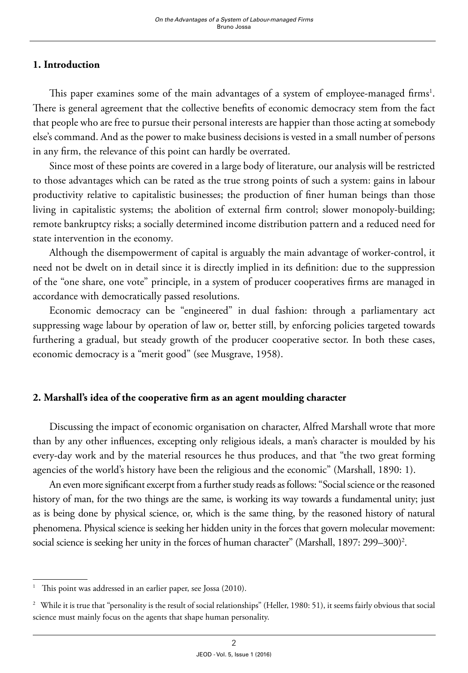# **1. Introduction**

This paper examines some of the main advantages of a system of employee-managed firms<sup>1</sup>. There is general agreement that the collective benefits of economic democracy stem from the fact that people who are free to pursue their personal interests are happier than those acting at somebody else's command. And as the power to make business decisions is vested in a small number of persons in any firm, the relevance of this point can hardly be overrated.

Since most of these points are covered in a large body of literature, our analysis will be restricted to those advantages which can be rated as the true strong points of such a system: gains in labour productivity relative to capitalistic businesses; the production of finer human beings than those living in capitalistic systems; the abolition of external firm control; slower monopoly-building; remote bankruptcy risks; a socially determined income distribution pattern and a reduced need for state intervention in the economy*.*

Although the disempowerment of capital is arguably the main advantage of worker-control, it need not be dwelt on in detail since it is directly implied in its definition: due to the suppression of the "one share, one vote" principle, in a system of producer cooperatives firms are managed in accordance with democratically passed resolutions.

Economic democracy can be "engineered" in dual fashion: through a parliamentary act suppressing wage labour by operation of law or, better still, by enforcing policies targeted towards furthering a gradual, but steady growth of the producer cooperative sector. In both these cases, economic democracy is a "merit good" (see Musgrave, 1958).

# **2. Marshall's idea of the cooperative firm as an agent moulding character**

Discussing the impact of economic organisation on character, Alfred Marshall wrote that more than by any other influences, excepting only religious ideals, a man's character is moulded by his every-day work and by the material resources he thus produces, and that "the two great forming agencies of the world's history have been the religious and the economic" (Marshall, 1890: 1).

An even more significant excerpt from a further study reads as follows: "Social science or the reasoned history of man, for the two things are the same, is working its way towards a fundamental unity; just as is being done by physical science, or, which is the same thing, by the reasoned history of natural phenomena. Physical science is seeking her hidden unity in the forces that govern molecular movement: social science is seeking her unity in the forces of human character" (Marshall, 1897: 299–300)<sup>2</sup>.

<sup>1</sup> This point was addressed in an earlier paper, see Jossa (2010).

<sup>2</sup> While it is true that "personality is the result of social relationships" (Heller, 1980: 51), it seems fairly obvious that social science must mainly focus on the agents that shape human personality.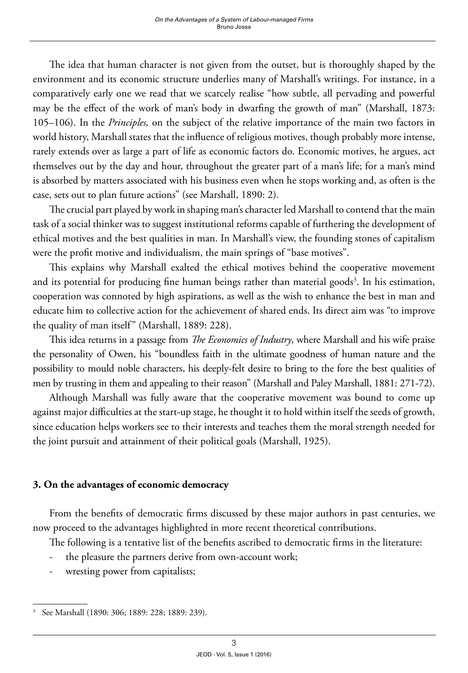The idea that human character is not given from the outset, but is thoroughly shaped by the environment and its economic structure underlies many of Marshall's writings. For instance, in a comparatively early one we read that we scarcely realise "how subtle, all pervading and powerful may be the effect of the work of man's body in dwarfing the growth of man" (Marshall, 1873: 105–106). In the *Principles,* on the subject of the relative importance of the main two factors in world history, Marshall states that the influence of religious motives, though probably more intense, rarely extends over as large a part of life as economic factors do. Economic motives, he argues, act themselves out by the day and hour, throughout the greater part of a man's life; for a man's mind is absorbed by matters associated with his business even when he stops working and, as often is the case, sets out to plan future actions" (see Marshall, 1890: 2).

The crucial part played by work in shaping man's character led Marshall to contend that the main task of a social thinker was to suggest institutional reforms capable of furthering the development of ethical motives and the best qualities in man. In Marshall's view, the founding stones of capitalism were the profit motive and individualism, the main springs of "base motives".

This explains why Marshall exalted the ethical motives behind the cooperative movement and its potential for producing fine human beings rather than material goods<sup>3</sup>. In his estimation, cooperation was connoted by high aspirations, as well as the wish to enhance the best in man and educate him to collective action for the achievement of shared ends. Its direct aim was "to improve the quality of man itself" (Marshall, 1889: 228).

This idea returns in a passage from *The Economics of Industry*, where Marshall and his wife praise the personality of Owen, his "boundless faith in the ultimate goodness of human nature and the possibility to mould noble characters, his deeply-felt desire to bring to the fore the best qualities of men by trusting in them and appealing to their reason" (Marshall and Paley Marshall, 1881: 271-72).

Although Marshall was fully aware that the cooperative movement was bound to come up against major difficulties at the start-up stage, he thought it to hold within itself the seeds of growth, since education helps workers see to their interests and teaches them the moral strength needed for the joint pursuit and attainment of their political goals (Marshall, 1925).

# **3. On the advantages of economic democracy**

From the benefits of democratic firms discussed by these major authors in past centuries, we now proceed to the advantages highlighted in more recent theoretical contributions.

The following is a tentative list of the benefits ascribed to democratic firms in the literature:

- the pleasure the partners derive from own-account work;
- wresting power from capitalists;

<sup>3</sup> See Marshall (1890: 306; 1889: 228; 1889: 239).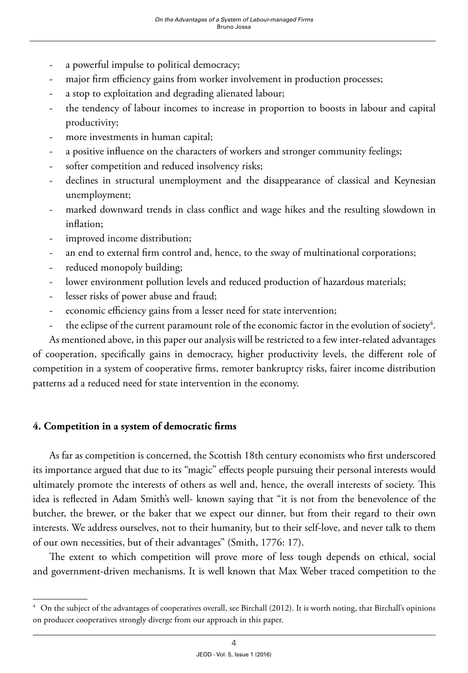- a powerful impulse to political democracy;
- major firm efficiency gains from worker involvement in production processes;
- a stop to exploitation and degrading alienated labour;
- the tendency of labour incomes to increase in proportion to boosts in labour and capital productivity;
- more investments in human capital;
- a positive influence on the characters of workers and stronger community feelings;
- softer competition and reduced insolvency risks;
- declines in structural unemployment and the disappearance of classical and Keynesian unemployment;
- marked downward trends in class conflict and wage hikes and the resulting slowdown in inflation;
- improved income distribution;
- an end to external firm control and, hence, to the sway of multinational corporations;
- reduced monopoly building;
- lower environment pollution levels and reduced production of hazardous materials;
- lesser risks of power abuse and fraud;
- economic efficiency gains from a lesser need for state intervention;
- the eclipse of the current paramount role of the economic factor in the evolution of society<sup>4</sup>.

As mentioned above, in this paper our analysis will be restricted to a few inter-related advantages of cooperation, specifically gains in democracy, higher productivity levels, the different role of competition in a system of cooperative firms, remoter bankruptcy risks, fairer income distribution patterns ad a reduced need for state intervention in the economy.

### **4. Competition in a system of democratic firms**

As far as competition is concerned, the Scottish 18th century economists who first underscored its importance argued that due to its "magic" effects people pursuing their personal interests would ultimately promote the interests of others as well and, hence, the overall interests of society. This idea is reflected in Adam Smith's well- known saying that "it is not from the benevolence of the butcher, the brewer, or the baker that we expect our dinner, but from their regard to their own interests. We address ourselves, not to their humanity, but to their self-love, and never talk to them of our own necessities, but of their advantages" (Smith, 1776: 17).

The extent to which competition will prove more of less tough depends on ethical, social and government-driven mechanisms. It is well known that Max Weber traced competition to the

<sup>4</sup> On the subject of the advantages of cooperatives overall, see Birchall (2012). It is worth noting, that Birchall's opinions on producer cooperatives strongly diverge from our approach in this paper.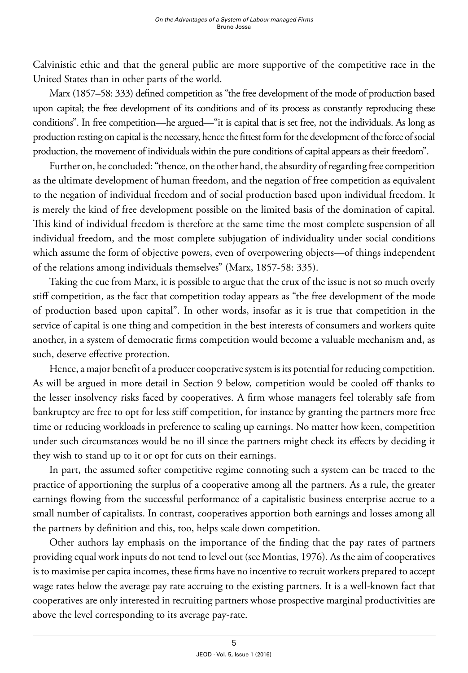Calvinistic ethic and that the general public are more supportive of the competitive race in the United States than in other parts of the world.

Marx (1857–58: 333) defined competition as "the free development of the mode of production based upon capital; the free development of its conditions and of its process as constantly reproducing these conditions". In free competition—he argued—"it is capital that is set free, not the individuals. As long as production resting on capital is the necessary, hence the fittest form for the development of the force of social production, the movement of individuals within the pure conditions of capital appears as their freedom".

Further on, he concluded: "thence, on the other hand, the absurdity of regarding free competition as the ultimate development of human freedom, and the negation of free competition as equivalent to the negation of individual freedom and of social production based upon individual freedom. It is merely the kind of free development possible on the limited basis of the domination of capital. This kind of individual freedom is therefore at the same time the most complete suspension of all individual freedom, and the most complete subjugation of individuality under social conditions which assume the form of objective powers, even of overpowering objects—of things independent of the relations among individuals themselves" (Marx, 1857-58: 335).

Taking the cue from Marx, it is possible to argue that the crux of the issue is not so much overly stiff competition, as the fact that competition today appears as "the free development of the mode of production based upon capital". In other words, insofar as it is true that competition in the service of capital is one thing and competition in the best interests of consumers and workers quite another, in a system of democratic firms competition would become a valuable mechanism and, as such, deserve effective protection.

Hence, a major benefit of a producer cooperative system is its potential for reducing competition. As will be argued in more detail in Section 9 below, competition would be cooled off thanks to the lesser insolvency risks faced by cooperatives. A firm whose managers feel tolerably safe from bankruptcy are free to opt for less stiff competition, for instance by granting the partners more free time or reducing workloads in preference to scaling up earnings. No matter how keen, competition under such circumstances would be no ill since the partners might check its effects by deciding it they wish to stand up to it or opt for cuts on their earnings.

In part, the assumed softer competitive regime connoting such a system can be traced to the practice of apportioning the surplus of a cooperative among all the partners. As a rule, the greater earnings flowing from the successful performance of a capitalistic business enterprise accrue to a small number of capitalists. In contrast, cooperatives apportion both earnings and losses among all the partners by definition and this, too, helps scale down competition.

Other authors lay emphasis on the importance of the finding that the pay rates of partners providing equal work inputs do not tend to level out (see Montias, 1976). As the aim of cooperatives is to maximise per capita incomes, these firms have no incentive to recruit workers prepared to accept wage rates below the average pay rate accruing to the existing partners. It is a well-known fact that cooperatives are only interested in recruiting partners whose prospective marginal productivities are above the level corresponding to its average pay-rate.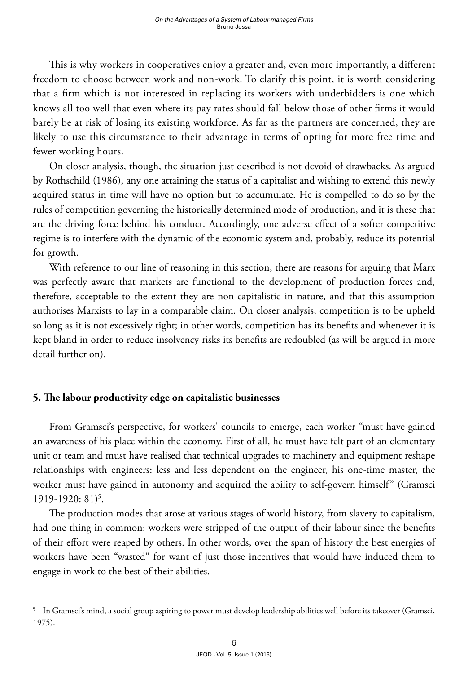This is why workers in cooperatives enjoy a greater and, even more importantly, a different freedom to choose between work and non-work. To clarify this point, it is worth considering that a firm which is not interested in replacing its workers with underbidders is one which knows all too well that even where its pay rates should fall below those of other firms it would barely be at risk of losing its existing workforce. As far as the partners are concerned, they are likely to use this circumstance to their advantage in terms of opting for more free time and fewer working hours.

On closer analysis, though, the situation just described is not devoid of drawbacks. As argued by Rothschild (1986), any one attaining the status of a capitalist and wishing to extend this newly acquired status in time will have no option but to accumulate. He is compelled to do so by the rules of competition governing the historically determined mode of production, and it is these that are the driving force behind his conduct. Accordingly, one adverse effect of a softer competitive regime is to interfere with the dynamic of the economic system and, probably, reduce its potential for growth.

With reference to our line of reasoning in this section, there are reasons for arguing that Marx was perfectly aware that markets are functional to the development of production forces and, therefore, acceptable to the extent they are non-capitalistic in nature, and that this assumption authorises Marxists to lay in a comparable claim. On closer analysis, competition is to be upheld so long as it is not excessively tight; in other words, competition has its benefits and whenever it is kept bland in order to reduce insolvency risks its benefits are redoubled (as will be argued in more detail further on).

# **5. The labour productivity edge on capitalistic businesses**

From Gramsci's perspective, for workers' councils to emerge, each worker "must have gained an awareness of his place within the economy. First of all, he must have felt part of an elementary unit or team and must have realised that technical upgrades to machinery and equipment reshape relationships with engineers: less and less dependent on the engineer, his one-time master, the worker must have gained in autonomy and acquired the ability to self-govern himself" (Gramsci  $1919-1920: 81$ <sup>5</sup>.

The production modes that arose at various stages of world history, from slavery to capitalism, had one thing in common: workers were stripped of the output of their labour since the benefits of their effort were reaped by others. In other words, over the span of history the best energies of workers have been "wasted" for want of just those incentives that would have induced them to engage in work to the best of their abilities.

<sup>5</sup> In Gramsci's mind, a social group aspiring to power must develop leadership abilities well before its takeover (Gramsci, 1975).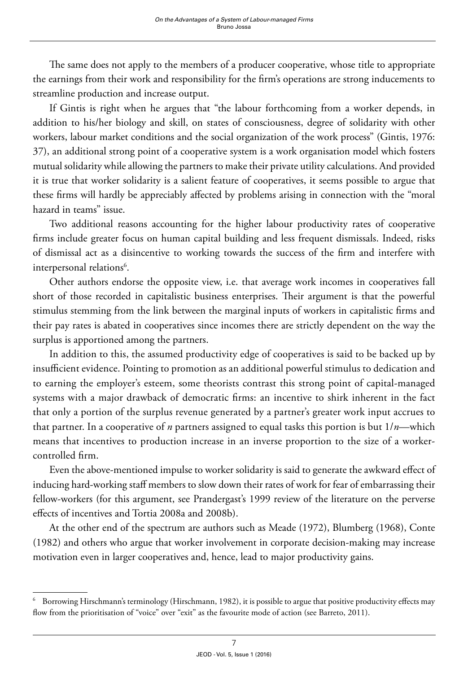The same does not apply to the members of a producer cooperative, whose title to appropriate the earnings from their work and responsibility for the firm's operations are strong inducements to streamline production and increase output.

If Gintis is right when he argues that "the labour forthcoming from a worker depends, in addition to his/her biology and skill, on states of consciousness, degree of solidarity with other workers, labour market conditions and the social organization of the work process" (Gintis, 1976: 37), an additional strong point of a cooperative system is a work organisation model which fosters mutual solidarity while allowing the partners to make their private utility calculations. And provided it is true that worker solidarity is a salient feature of cooperatives, it seems possible to argue that these firms will hardly be appreciably affected by problems arising in connection with the "moral hazard in teams" issue.

Two additional reasons accounting for the higher labour productivity rates of cooperative firms include greater focus on human capital building and less frequent dismissals. Indeed, risks of dismissal act as a disincentive to working towards the success of the firm and interfere with interpersonal relations<sup>6</sup>.

Other authors endorse the opposite view, i.e. that average work incomes in cooperatives fall short of those recorded in capitalistic business enterprises. Their argument is that the powerful stimulus stemming from the link between the marginal inputs of workers in capitalistic firms and their pay rates is abated in cooperatives since incomes there are strictly dependent on the way the surplus is apportioned among the partners.

In addition to this, the assumed productivity edge of cooperatives is said to be backed up by insufficient evidence. Pointing to promotion as an additional powerful stimulus to dedication and to earning the employer's esteem, some theorists contrast this strong point of capital-managed systems with a major drawback of democratic firms: an incentive to shirk inherent in the fact that only a portion of the surplus revenue generated by a partner's greater work input accrues to that partner. In a cooperative of *n* partners assigned to equal tasks this portion is but 1/*n*—which means that incentives to production increase in an inverse proportion to the size of a workercontrolled firm.

Even the above-mentioned impulse to worker solidarity is said to generate the awkward effect of inducing hard-working staff members to slow down their rates of work for fear of embarrassing their fellow-workers (for this argument, see Prandergast's 1999 review of the literature on the perverse effects of incentives and Tortia 2008a and 2008b).

At the other end of the spectrum are authors such as Meade (1972), Blumberg (1968), Conte (1982) and others who argue that worker involvement in corporate decision-making may increase motivation even in larger cooperatives and, hence, lead to major productivity gains.

<sup>6</sup> Borrowing Hirschmann's terminology (Hirschmann, 1982), it is possible to argue that positive productivity effects may flow from the prioritisation of "voice" over "exit" as the favourite mode of action (see Barreto, 2011).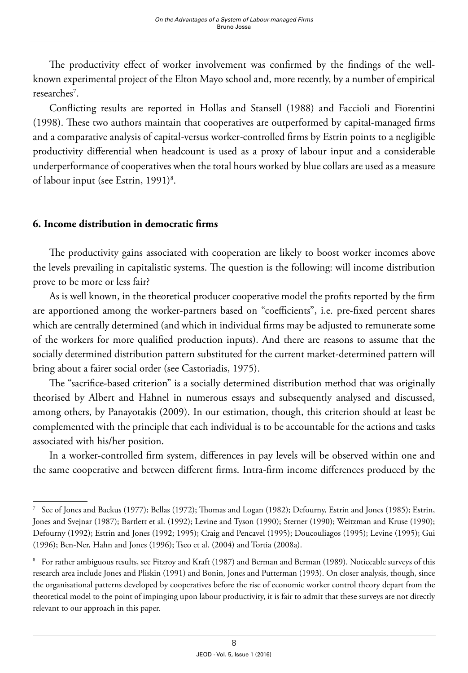The productivity effect of worker involvement was confirmed by the findings of the wellknown experimental project of the Elton Mayo school and, more recently, by a number of empirical researches<sup>7</sup>.

Conflicting results are reported in Hollas and Stansell (1988) and Faccioli and Fiorentini (1998). These two authors maintain that cooperatives are outperformed by capital-managed firms and a comparative analysis of capital-versus worker-controlled firms by Estrin points to a negligible productivity differential when headcount is used as a proxy of labour input and a considerable underperformance of cooperatives when the total hours worked by blue collars are used as a measure of labour input (see Estrin, 1991)<sup>8</sup>.

# **6. Income distribution in democratic firms**

The productivity gains associated with cooperation are likely to boost worker incomes above the levels prevailing in capitalistic systems. The question is the following: will income distribution prove to be more or less fair?

As is well known, in the theoretical producer cooperative model the profits reported by the firm are apportioned among the worker-partners based on "coefficients", i.e. pre-fixed percent shares which are centrally determined (and which in individual firms may be adjusted to remunerate some of the workers for more qualified production inputs). And there are reasons to assume that the socially determined distribution pattern substituted for the current market-determined pattern will bring about a fairer social order (see Castoriadis, 1975).

The "sacrifice-based criterion" is a socially determined distribution method that was originally theorised by Albert and Hahnel in numerous essays and subsequently analysed and discussed, among others, by Panayotakis (2009). In our estimation, though, this criterion should at least be complemented with the principle that each individual is to be accountable for the actions and tasks associated with his/her position.

In a worker-controlled firm system, differences in pay levels will be observed within one and the same cooperative and between different firms. Intra-firm income differences produced by the

<sup>7</sup> See of Jones and Backus (1977); Bellas (1972); Thomas and Logan (1982); Defourny, Estrin and Jones (1985); Estrin, Jones and Svejnar (1987); Bartlett et al. (1992); Levine and Tyson (1990); Sterner (1990); Weitzman and Kruse (1990); Defourny (1992); Estrin and Jones (1992; 1995); Craig and Pencavel (1995); Doucouliagos (1995); Levine (1995); Gui (1996); Ben-Ner, Hahn and Jones (1996); Tseo et al. (2004) and Tortia (2008a).

<sup>8</sup> For rather ambiguous results, see Fitzroy and Kraft (1987) and Berman and Berman (1989). Noticeable surveys of this research area include Jones and Pliskin (1991) and Bonin, Jones and Putterman (1993). On closer analysis, though, since the organisational patterns developed by cooperatives before the rise of economic worker control theory depart from the theoretical model to the point of impinging upon labour productivity, it is fair to admit that these surveys are not directly relevant to our approach in this paper.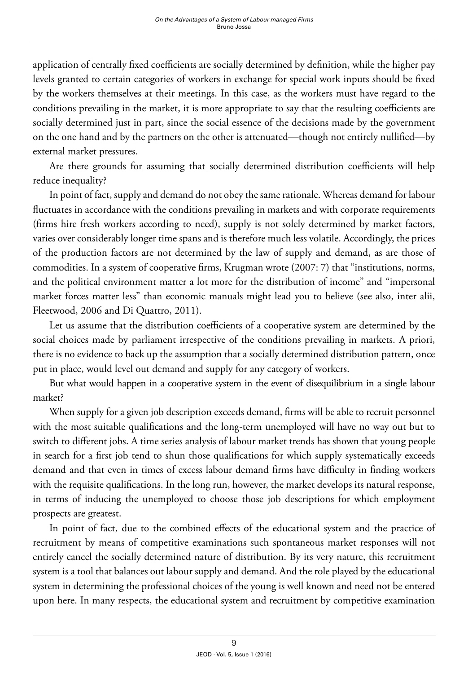application of centrally fixed coefficients are socially determined by definition, while the higher pay levels granted to certain categories of workers in exchange for special work inputs should be fixed by the workers themselves at their meetings. In this case, as the workers must have regard to the conditions prevailing in the market, it is more appropriate to say that the resulting coefficients are socially determined just in part, since the social essence of the decisions made by the government on the one hand and by the partners on the other is attenuated—though not entirely nullified—by external market pressures.

Are there grounds for assuming that socially determined distribution coefficients will help reduce inequality?

In point of fact, supply and demand do not obey the same rationale. Whereas demand for labour fluctuates in accordance with the conditions prevailing in markets and with corporate requirements (firms hire fresh workers according to need), supply is not solely determined by market factors, varies over considerably longer time spans and is therefore much less volatile. Accordingly, the prices of the production factors are not determined by the law of supply and demand, as are those of commodities. In a system of cooperative firms, Krugman wrote (2007: 7) that "institutions, norms, and the political environment matter a lot more for the distribution of income" and "impersonal market forces matter less" than economic manuals might lead you to believe (see also, inter alii, Fleetwood, 2006 and Di Quattro, 2011).

Let us assume that the distribution coefficients of a cooperative system are determined by the social choices made by parliament irrespective of the conditions prevailing in markets. A priori, there is no evidence to back up the assumption that a socially determined distribution pattern, once put in place, would level out demand and supply for any category of workers.

But what would happen in a cooperative system in the event of disequilibrium in a single labour market?

When supply for a given job description exceeds demand, firms will be able to recruit personnel with the most suitable qualifications and the long-term unemployed will have no way out but to switch to different jobs. A time series analysis of labour market trends has shown that young people in search for a first job tend to shun those qualifications for which supply systematically exceeds demand and that even in times of excess labour demand firms have difficulty in finding workers with the requisite qualifications. In the long run, however, the market develops its natural response, in terms of inducing the unemployed to choose those job descriptions for which employment prospects are greatest.

In point of fact, due to the combined effects of the educational system and the practice of recruitment by means of competitive examinations such spontaneous market responses will not entirely cancel the socially determined nature of distribution. By its very nature, this recruitment system is a tool that balances out labour supply and demand. And the role played by the educational system in determining the professional choices of the young is well known and need not be entered upon here. In many respects, the educational system and recruitment by competitive examination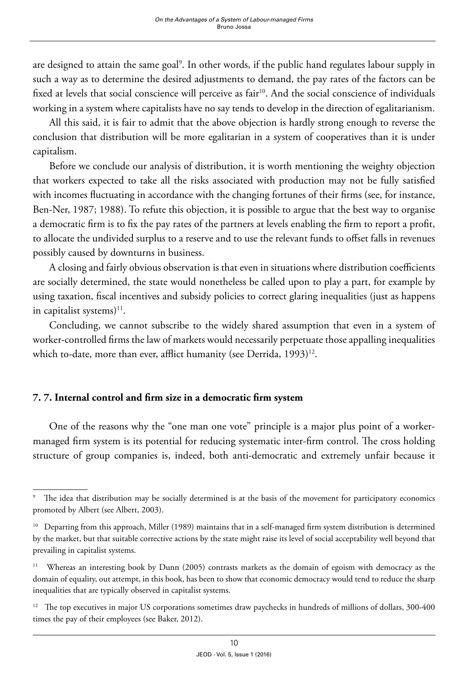are designed to attain the same goal<sup>9</sup>. In other words, if the public hand regulates labour supply in such a way as to determine the desired adjustments to demand, the pay rates of the factors can be fixed at levels that social conscience will perceive as fair<sup>10</sup>. And the social conscience of individuals working in a system where capitalists have no say tends to develop in the direction of egalitarianism.

All this said, it is fair to admit that the above objection is hardly strong enough to reverse the conclusion that distribution will be more egalitarian in a system of cooperatives than it is under capitalism.

Before we conclude our analysis of distribution, it is worth mentioning the weighty objection that workers expected to take all the risks associated with production may not be fully satisfied with incomes fluctuating in accordance with the changing fortunes of their firms (see, for instance, Ben-Ner, 1987; 1988). To refute this objection, it is possible to argue that the best way to organise a democratic firm is to fix the pay rates of the partners at levels enabling the firm to report a profit, to allocate the undivided surplus to a reserve and to use the relevant funds to offset falls in revenues possibly caused by downturns in business.

A closing and fairly obvious observation is that even in situations where distribution coefficients are socially determined, the state would nonetheless be called upon to play a part, for example by using taxation, fiscal incentives and subsidy policies to correct glaring inequalities (just as happens in capitalist systems) $11$ .

Concluding, we cannot subscribe to the widely shared assumption that even in a system of worker-controlled firms the law of markets would necessarily perpetuate those appalling inequalities which to-date, more than ever, afflict humanity (see Derrida,  $1993)^{12}$ .

# **7. 7. Internal control and firm size in a democratic firm system**

One of the reasons why the "one man one vote" principle is a major plus point of a workermanaged firm system is its potential for reducing systematic inter-firm control. The cross holding structure of group companies is, indeed, both anti-democratic and extremely unfair because it

<sup>9</sup> The idea that distribution may be socially determined is at the basis of the movement for participatory economics promoted by Albert (see Albert, 2003).

<sup>&</sup>lt;sup>10</sup> Departing from this approach, Miller (1989) maintains that in a self-managed firm system distribution is determined by the market, but that suitable corrective actions by the state might raise its level of social acceptability well beyond that prevailing in capitalist systems.

<sup>&</sup>lt;sup>11</sup> Whereas an interesting book by Dunn (2005) contrasts markets as the domain of egoism with democracy as the domain of equality, out attempt, in this book, has been to show that economic democracy would tend to reduce the sharp inequalities that are typically observed in capitalist systems.

<sup>&</sup>lt;sup>12</sup> The top executives in major US corporations sometimes draw paychecks in hundreds of millions of dollars, 300-400 times the pay of their employees (see Baker, 2012).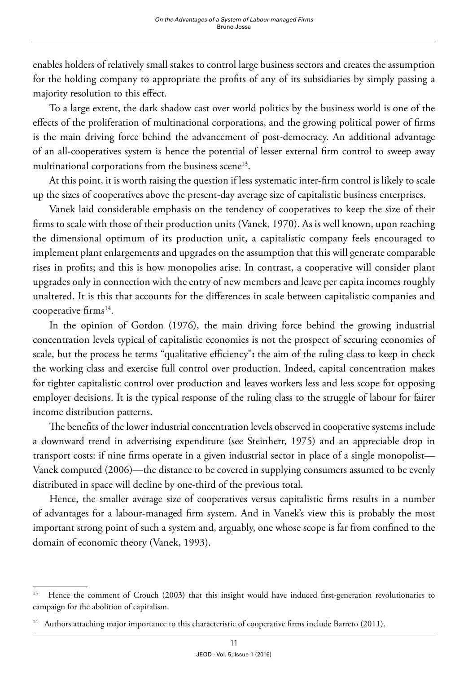enables holders of relatively small stakes to control large business sectors and creates the assumption for the holding company to appropriate the profits of any of its subsidiaries by simply passing a majority resolution to this effect.

To a large extent, the dark shadow cast over world politics by the business world is one of the effects of the proliferation of multinational corporations, and the growing political power of firms is the main driving force behind the advancement of post-democracy. An additional advantage of an all-cooperatives system is hence the potential of lesser external firm control to sweep away multinational corporations from the business scene<sup>13</sup>.

At this point, it is worth raising the question if less systematic inter-firm control is likely to scale up the sizes of cooperatives above the present-day average size of capitalistic business enterprises.

Vanek laid considerable emphasis on the tendency of cooperatives to keep the size of their firms to scale with those of their production units (Vanek, 1970). As is well known, upon reaching the dimensional optimum of its production unit, a capitalistic company feels encouraged to implement plant enlargements and upgrades on the assumption that this will generate comparable rises in profits; and this is how monopolies arise. In contrast, a cooperative will consider plant upgrades only in connection with the entry of new members and leave per capita incomes roughly unaltered. It is this that accounts for the differences in scale between capitalistic companies and cooperative firms<sup>14</sup>.

In the opinion of Gordon (1976), the main driving force behind the growing industrial concentration levels typical of capitalistic economies is not the prospect of securing economies of scale, but the process he terms "qualitative efficiency"**:** the aim of the ruling class to keep in check the working class and exercise full control over production. Indeed, capital concentration makes for tighter capitalistic control over production and leaves workers less and less scope for opposing employer decisions. It is the typical response of the ruling class to the struggle of labour for fairer income distribution patterns.

The benefits of the lower industrial concentration levels observed in cooperative systems include a downward trend in advertising expenditure (see Steinherr, 1975) and an appreciable drop in transport costs: if nine firms operate in a given industrial sector in place of a single monopolist— Vanek computed (2006)—the distance to be covered in supplying consumers assumed to be evenly distributed in space will decline by one-third of the previous total.

Hence, the smaller average size of cooperatives versus capitalistic firms results in a number of advantages for a labour-managed firm system. And in Vanek's view this is probably the most important strong point of such a system and, arguably, one whose scope is far from confined to the domain of economic theory (Vanek, 1993).

<sup>&</sup>lt;sup>13</sup> Hence the comment of Crouch (2003) that this insight would have induced first-generation revolutionaries to campaign for the abolition of capitalism.

<sup>14</sup> Authors attaching major importance to this characteristic of cooperative firms include Barreto (2011).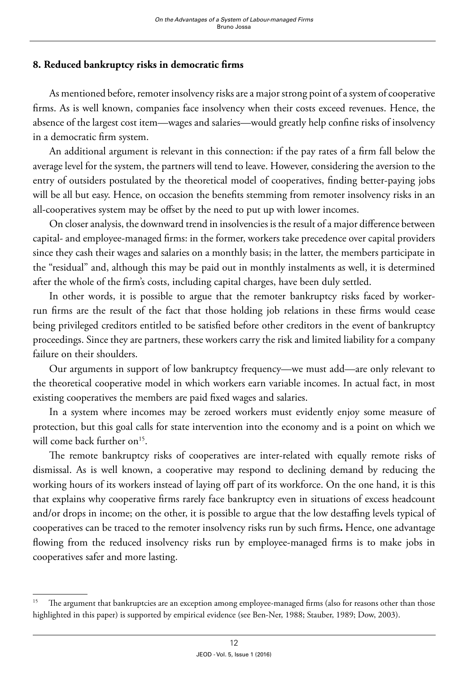# **8. Reduced bankruptcy risks in democratic firms**

As mentioned before, remoter insolvency risks are a major strong point of a system of cooperative firms. As is well known, companies face insolvency when their costs exceed revenues. Hence, the absence of the largest cost item—wages and salaries—would greatly help confine risks of insolvency in a democratic firm system.

An additional argument is relevant in this connection: if the pay rates of a firm fall below the average level for the system, the partners will tend to leave. However, considering the aversion to the entry of outsiders postulated by the theoretical model of cooperatives, finding better-paying jobs will be all but easy. Hence, on occasion the benefits stemming from remoter insolvency risks in an all-cooperatives system may be offset by the need to put up with lower incomes.

On closer analysis, the downward trend in insolvencies is the result of a major difference between capital- and employee-managed firms: in the former, workers take precedence over capital providers since they cash their wages and salaries on a monthly basis; in the latter, the members participate in the "residual" and, although this may be paid out in monthly instalments as well, it is determined after the whole of the firm's costs, including capital charges, have been duly settled.

In other words, it is possible to argue that the remoter bankruptcy risks faced by workerrun firms are the result of the fact that those holding job relations in these firms would cease being privileged creditors entitled to be satisfied before other creditors in the event of bankruptcy proceedings. Since they are partners, these workers carry the risk and limited liability for a company failure on their shoulders.

Our arguments in support of low bankruptcy frequency—we must add—are only relevant to the theoretical cooperative model in which workers earn variable incomes. In actual fact, in most existing cooperatives the members are paid fixed wages and salaries.

In a system where incomes may be zeroed workers must evidently enjoy some measure of protection, but this goal calls for state intervention into the economy and is a point on which we will come back further on<sup>15</sup>.

The remote bankruptcy risks of cooperatives are inter-related with equally remote risks of dismissal. As is well known, a cooperative may respond to declining demand by reducing the working hours of its workers instead of laying off part of its workforce. On the one hand, it is this that explains why cooperative firms rarely face bankruptcy even in situations of excess headcount and/or drops in income; on the other, it is possible to argue that the low destaffing levels typical of cooperatives can be traced to the remoter insolvency risks run by such firms**.** Hence, one advantage flowing from the reduced insolvency risks run by employee-managed firms is to make jobs in cooperatives safer and more lasting.

<sup>&</sup>lt;sup>15</sup> The argument that bankruptcies are an exception among employee-managed firms (also for reasons other than those highlighted in this paper) is supported by empirical evidence (see Ben-Ner, 1988; Stauber, 1989; Dow, 2003).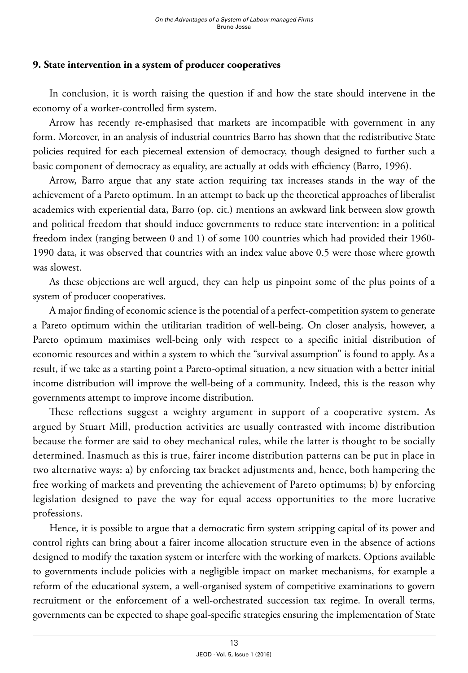# **9. State intervention in a system of producer cooperatives**

In conclusion, it is worth raising the question if and how the state should intervene in the economy of a worker-controlled firm system.

Arrow has recently re-emphasised that markets are incompatible with government in any form. Moreover, in an analysis of industrial countries Barro has shown that the redistributive State policies required for each piecemeal extension of democracy, though designed to further such a basic component of democracy as equality, are actually at odds with efficiency (Barro, 1996).

Arrow, Barro argue that any state action requiring tax increases stands in the way of the achievement of a Pareto optimum. In an attempt to back up the theoretical approaches of liberalist academics with experiential data, Barro (op. cit.) mentions an awkward link between slow growth and political freedom that should induce governments to reduce state intervention: in a political freedom index (ranging between 0 and 1) of some 100 countries which had provided their 1960- 1990 data, it was observed that countries with an index value above 0.5 were those where growth was slowest.

As these objections are well argued, they can help us pinpoint some of the plus points of a system of producer cooperatives.

A major finding of economic science is the potential of a perfect-competition system to generate a Pareto optimum within the utilitarian tradition of well-being. On closer analysis, however, a Pareto optimum maximises well-being only with respect to a specific initial distribution of economic resources and within a system to which the "survival assumption" is found to apply. As a result, if we take as a starting point a Pareto-optimal situation, a new situation with a better initial income distribution will improve the well-being of a community. Indeed, this is the reason why governments attempt to improve income distribution.

These reflections suggest a weighty argument in support of a cooperative system. As argued by Stuart Mill, production activities are usually contrasted with income distribution because the former are said to obey mechanical rules, while the latter is thought to be socially determined. Inasmuch as this is true, fairer income distribution patterns can be put in place in two alternative ways: a) by enforcing tax bracket adjustments and, hence, both hampering the free working of markets and preventing the achievement of Pareto optimums; b) by enforcing legislation designed to pave the way for equal access opportunities to the more lucrative professions.

Hence, it is possible to argue that a democratic firm system stripping capital of its power and control rights can bring about a fairer income allocation structure even in the absence of actions designed to modify the taxation system or interfere with the working of markets. Options available to governments include policies with a negligible impact on market mechanisms, for example a reform of the educational system, a well-organised system of competitive examinations to govern recruitment or the enforcement of a well-orchestrated succession tax regime. In overall terms, governments can be expected to shape goal-specific strategies ensuring the implementation of State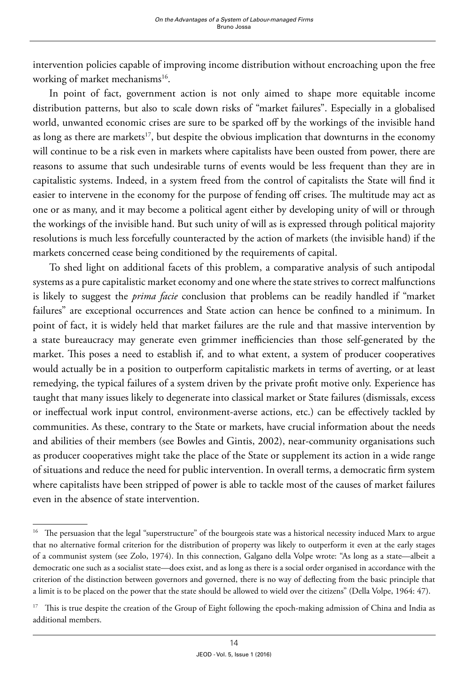intervention policies capable of improving income distribution without encroaching upon the free working of market mechanisms<sup>16</sup>.

In point of fact, government action is not only aimed to shape more equitable income distribution patterns, but also to scale down risks of "market failures". Especially in a globalised world, unwanted economic crises are sure to be sparked off by the workings of the invisible hand as long as there are markets<sup>17</sup>, but despite the obvious implication that downturns in the economy will continue to be a risk even in markets where capitalists have been ousted from power, there are reasons to assume that such undesirable turns of events would be less frequent than they are in capitalistic systems. Indeed, in a system freed from the control of capitalists the State will find it easier to intervene in the economy for the purpose of fending off crises. The multitude may act as one or as many, and it may become a political agent either by developing unity of will or through the workings of the invisible hand. But such unity of will as is expressed through political majority resolutions is much less forcefully counteracted by the action of markets (the invisible hand) if the markets concerned cease being conditioned by the requirements of capital.

To shed light on additional facets of this problem, a comparative analysis of such antipodal systems as a pure capitalistic market economy and one where the state strives to correct malfunctions is likely to suggest the *prima facie* conclusion that problems can be readily handled if "market failures" are exceptional occurrences and State action can hence be confined to a minimum. In point of fact, it is widely held that market failures are the rule and that massive intervention by a state bureaucracy may generate even grimmer inefficiencies than those self-generated by the market. This poses a need to establish if, and to what extent, a system of producer cooperatives would actually be in a position to outperform capitalistic markets in terms of averting, or at least remedying, the typical failures of a system driven by the private profit motive only. Experience has taught that many issues likely to degenerate into classical market or State failures (dismissals, excess or ineffectual work input control, environment-averse actions, etc.) can be effectively tackled by communities. As these, contrary to the State or markets, have crucial information about the needs and abilities of their members (see Bowles and Gintis, 2002), near-community organisations such as producer cooperatives might take the place of the State or supplement its action in a wide range of situations and reduce the need for public intervention. In overall terms, a democratic firm system where capitalists have been stripped of power is able to tackle most of the causes of market failures even in the absence of state intervention.

<sup>&</sup>lt;sup>16</sup> The persuasion that the legal "superstructure" of the bourgeois state was a historical necessity induced Marx to argue that no alternative formal criterion for the distribution of property was likely to outperform it even at the early stages of a communist system (see Zolo, 1974). In this connection, Galgano della Volpe wrote: "As long as a state—albeit a democratic one such as a socialist state—does exist, and as long as there is a social order organised in accordance with the criterion of the distinction between governors and governed, there is no way of deflecting from the basic principle that a limit is to be placed on the power that the state should be allowed to wield over the citizens" (Della Volpe, 1964: 47).

<sup>&</sup>lt;sup>17</sup> This is true despite the creation of the Group of Eight following the epoch-making admission of China and India as additional members.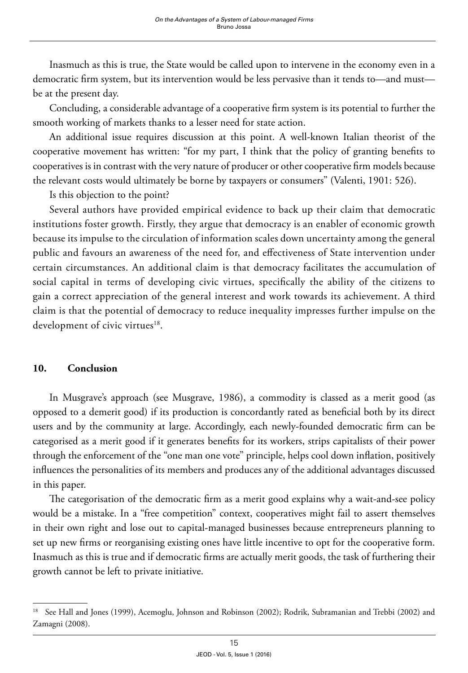Inasmuch as this is true, the State would be called upon to intervene in the economy even in a democratic firm system, but its intervention would be less pervasive than it tends to—and must be at the present day.

Concluding, a considerable advantage of a cooperative firm system is its potential to further the smooth working of markets thanks to a lesser need for state action.

An additional issue requires discussion at this point. A well-known Italian theorist of the cooperative movement has written: "for my part, I think that the policy of granting benefits to cooperatives is in contrast with the very nature of producer or other cooperative firm models because the relevant costs would ultimately be borne by taxpayers or consumers" (Valenti, 1901: 526).

Is this objection to the point?

Several authors have provided empirical evidence to back up their claim that democratic institutions foster growth. Firstly, they argue that democracy is an enabler of economic growth because its impulse to the circulation of information scales down uncertainty among the general public and favours an awareness of the need for, and effectiveness of State intervention under certain circumstances. An additional claim is that democracy facilitates the accumulation of social capital in terms of developing civic virtues, specifically the ability of the citizens to gain a correct appreciation of the general interest and work towards its achievement. A third claim is that the potential of democracy to reduce inequality impresses further impulse on the development of civic virtues<sup>18</sup>.

### **10. Conclusion**

In Musgrave's approach (see Musgrave, 1986), a commodity is classed as a merit good (as opposed to a demerit good) if its production is concordantly rated as beneficial both by its direct users and by the community at large. Accordingly, each newly-founded democratic firm can be categorised as a merit good if it generates benefits for its workers, strips capitalists of their power through the enforcement of the "one man one vote" principle, helps cool down inflation, positively influences the personalities of its members and produces any of the additional advantages discussed in this paper.

The categorisation of the democratic firm as a merit good explains why a wait-and-see policy would be a mistake. In a "free competition" context, cooperatives might fail to assert themselves in their own right and lose out to capital-managed businesses because entrepreneurs planning to set up new firms or reorganising existing ones have little incentive to opt for the cooperative form. Inasmuch as this is true and if democratic firms are actually merit goods, the task of furthering their growth cannot be left to private initiative.

<sup>&</sup>lt;sup>18</sup> See Hall and Jones (1999), Acemoglu, Johnson and Robinson (2002); Rodrik, Subramanian and Trebbi (2002) and Zamagni (2008).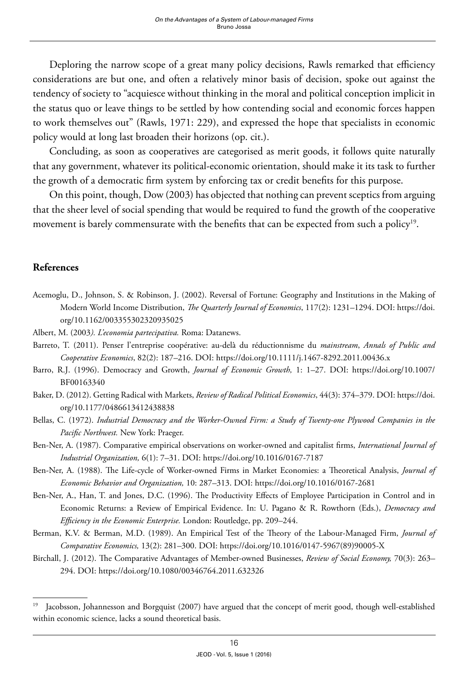Deploring the narrow scope of a great many policy decisions, Rawls remarked that efficiency considerations are but one, and often a relatively minor basis of decision, spoke out against the tendency of society to "acquiesce without thinking in the moral and political conception implicit in the status quo or leave things to be settled by how contending social and economic forces happen to work themselves out" (Rawls, 1971: 229), and expressed the hope that specialists in economic policy would at long last broaden their horizons (op. cit.).

Concluding, as soon as cooperatives are categorised as merit goods, it follows quite naturally that any government, whatever its political-economic orientation, should make it its task to further the growth of a democratic firm system by enforcing tax or credit benefits for this purpose.

On this point, though, Dow (2003) has objected that nothing can prevent sceptics from arguing that the sheer level of social spending that would be required to fund the growth of the cooperative movement is barely commensurate with the benefits that can be expected from such a policy<sup>19</sup>.

# **References**

- Acemoglu, D., Johnson, S. & Robinson, J. (2002). Reversal of Fortune: Geography and Institutions in the Making of Modern World Income Distribution, *The Quarterly Journal of Economics*, 117(2): 1231*–*1294. DOI: [https://doi.](https://doi.org/10.1162/003355302320935025) [org/10.1162/003355302320935025](https://doi.org/10.1162/003355302320935025)
- Albert, M. (2003*). L'economia partecipativa.* Roma: Datanews.
- Barreto, T. (2011). Penser l'entreprise coopérative: au-delà du réductionnisme du *mainstream*, *Annals of Public and Cooperative Economics*, 82(2): 187*–*216. DOI: <https://doi.org/10.1111/j.1467-8292.2011.00436.x>
- Barro, R.J. (1996). Democracy and Growth, *Journal of Economic Growth,* 1: 1*–*27. DOI: [https://doi.org/10.1007/](https://doi.org/10.1007/BF00163340) [BF00163340](https://doi.org/10.1007/BF00163340)
- Baker, D. (2012). Getting Radical with Markets, *Review of Radical Political Economics*, 44(3): 374–379. [DOI: https://doi.](https://doi.org/10.1177/0486613412438838) [org/10.1177/0486613412438838](https://doi.org/10.1177/0486613412438838)
- Bellas, C. (1972). *Industrial Democracy and the Worker-Owned Firm: a Study of Twenty-one Plywood Companies in the Pacific Northwest.* New York: Praeger.
- Ben-Ner, A. (1987). Comparative empirical observations on worker-owned and capitalist firms, *International Journal of Industrial Organization,* 6(1): 7*–*31. DOI: [https://doi.org/10.1016/0167-7187](https://doi.org/10.1016/0167-7187(88)90003-3)
- Ben-Ner, A. (1988). The Life-cycle of Worker-owned Firms in Market Economies: a Theoretical Analysis, *Journal of Economic Behavior and Organization,* 10: 287*–*313. DOI: [https://doi.org/10.1016/0167-2681](https://doi.org/10.1016/0167-2681(88)90052-2)
- Ben-Ner, A., Han, T. and Jones, D.C. (1996). The Productivity Effects of Employee Participation in Control and in Economic Returns: a Review of Empirical Evidence. In: U. Pagano & R. Rowthorn (Eds.), *Democracy and Efficiency in the Economic Enterprise.* London: Routledge, pp. 209*–*244.
- Berman, K.V. & Berman, M.D. (1989). An Empirical Test of the Theory of the Labour-Managed Firm, *Journal of Comparative Economics,* 13(2): 281*–*300. DOI: [https://doi.org/10.1016/0147-5967\(89\)90005-X](https://doi.org/10.1016/0147-5967(89)90005-X)
- Birchall, J. (2012). The Comparative Advantages of Member-owned Businesses, *Review of Social Economy,* 70(3): 263*–* 294. DOI:<https://doi.org/10.1080/00346764.2011.632326>

<sup>19</sup> Jacobsson, Johannesson and Borgquist (2007) have argued that the concept of merit good, though well-established within economic science, lacks a sound theoretical basis.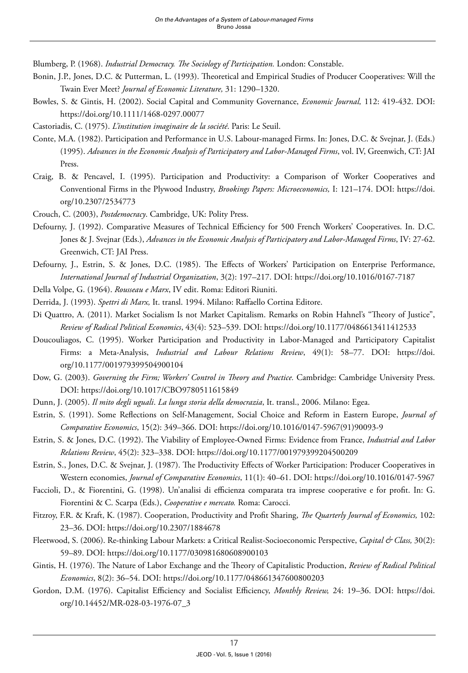Blumberg, P. (1968). *Industrial Democracy. The Sociology of Participation.* London: Constable.

- Bonin, J.P., Jones, D.C. & Putterman, L. (1993). Theoretical and Empirical Studies of Producer Cooperatives: Will the Twain Ever Meet? *Journal of Economic Literature,* 31: 1290*–*1320.
- Bowles, S. & Gintis, H. (2002). Social Capital and Community Governance, *Economic Journal,* 112: 419-432. DOI: <https://doi.org/10.1111/1468-0297.00077>
- Castoriadis, C. (1975). *L'institution imaginaire de la société*. Paris: Le Seuil.
- Conte, M.A. (1982). Participation and Performance in U.S. Labour-managed Firms. In: Jones, D.C. & Svejnar, J. (Eds.) (1995). *Advances in the Economic Analysis of Participatory and Labor-Managed Firms*, vol. IV, Greenwich, CT: JAI Press.
- Craig, B. & Pencavel, I. (1995). Participation and Productivity: a Comparison of Worker Cooperatives and Conventional Firms in the Plywood Industry, *Brookings Papers: Microeconomics,* I: 121*–*174. DOI: [https://doi.](https://doi.org/10.2307/2534773) [org/10.2307/2534773](https://doi.org/10.2307/2534773)
- Crouch, C. (2003), *Postdemocracy*. Cambridge, UK: Polity Press.
- Defourny, J. (1992). Comparative Measures of Technical Efficiency for 500 French Workers' Cooperatives. In. D.C. Jones & J. Svejnar (Eds.), *Advances in the Economic Analysis of Participatory and Labor-Managed Firms*, IV: 27-62. Greenwich, CT: JAI Press.
- Defourny, J., Estrin, S. & Jones, D.C. (1985). The Effects of Workers' Participation on Enterprise Performance, *International Journal of Industrial Organization*, 3(2): 197*–*217. DOI: [https://doi.org/10.1016/0167-7187](https://doi.org/10.1016/0167-7187(85)90004-9)
- Della Volpe, G. (1964). *Rousseau e Marx*, IV edit. Roma: Editori Riuniti.
- Derrida, J. (1993). *Spettri di Marx,* It. transl. 1994. Milano: Raffaello Cortina Editore.
- Di Quattro, A. (2011). Market Socialism Is not Market Capitalism. Remarks on Robin Hahnel's "Theory of Justice", *Review of Radical Political Economics*, 43(4): 523*–*539. DOI: <https://doi.org/10.1177/0486613411412533>
- Doucouliagos, C. (1995). Worker Participation and Productivity in Labor-Managed and Participatory Capitalist Firms: a Meta-Analysis, *Industrial and Labour Relations Review*, 49(1): 58*–*77. DOI: [https://doi.](https://doi.org/10.1177/001979399504900104) [org/10.1177/001979399504900104](https://doi.org/10.1177/001979399504900104)
- Dow, G. (2003). *Governing the Firm; Workers' Control in Theory and Practice.* Cambridge: Cambridge University Press. DOI:<https://doi.org/10.1017/CBO9780511615849>
- Dunn, J. (2005). *Il mito degli uguali*. *La lunga storia della democrazia*, It. transl., 2006. Milano: Egea.
- Estrin, S. (1991). Some Reflections on Self-Management, Social Choice and Reform in Eastern Europe, *Journal of Comparative Economics*, 15(2): 349*–*366. DOI: [https://doi.org/10.1016/0147-5967\(91\)90093-9](https://doi.org/10.1016/0147-5967(91)90093-9)
- Estrin, S. & Jones, D.C. (1992). The Viability of Employee-Owned Firms: Evidence from France, *Industrial and Labor Relations Review*, 45(2): 323*–*338. DOI:<https://doi.org/10.1177/001979399204500209>
- Estrin, S., Jones, D.C. & Svejnar, J. (1987). The Productivity Effects of Worker Participation: Producer Cooperatives in Western economies, *Journal of Comparative Economics*, 11(1): 40*–*61. DOI: [https://doi.org/10.1016/0147-5967](https://doi.org/10.1016/0147-5967(87)90040-0)
- Faccioli, D., & Fiorentini, G. (1998). Un'analisi di efficienza comparata tra imprese cooperative e for profit. In: G. Fiorentini & C. Scarpa (Eds.), *Cooperative e mercato.* Roma: Carocci.
- Fitzroy, F.R. & Kraft, K. (1987). Cooperation, Productivity and Profit Sharing, *The Quarterly Journal of Economics,* 102: 23*–*36. DOI:<https://doi.org/10.2307/1884678>
- Fleetwood, S. (2006). Re-thinking Labour Markets: a Critical Realist-Socioeconomic Perspective, *Capital & Class,* 30(2): 59*–*89. DOI:<https://doi.org/10.1177/030981680608900103>
- Gintis, H. (1976). The Nature of Labor Exchange and the Theory of Capitalistic Production, *Review of Radical Political Economics*, 8(2): 36*–*54. DOI:<https://doi.org/10.1177/048661347600800203>
- Gordon, D.M. (1976). Capitalist Efficiency and Socialist Efficiency, *Monthly Review,* 24: 19*–*36. DOI: [https://doi.](https://doi.org/10.14452/MR-028-03-1976-07_3) [org/10.14452/MR-028-03-1976-07\\_3](https://doi.org/10.14452/MR-028-03-1976-07_3)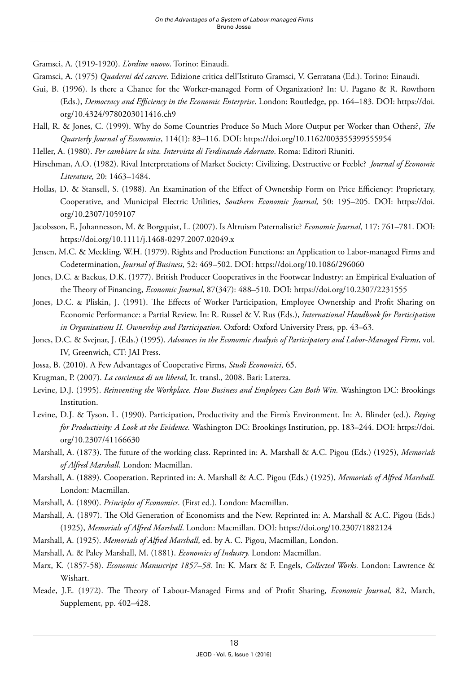Gramsci, A. (1919-1920). *L'ordine nuovo*. Torino: Einaudi.

- Gramsci, A. (1975) *Quaderni del carcere*. Edizione critica dell'Istituto Gramsci, V. Gerratana (Ed.). Torino: Einaudi.
- Gui, B. (1996). Is there a Chance for the Worker-managed Form of Organization? In: U. Pagano & R. Rowthorn (Eds.), *Democracy and Efficiency in the Economic Enterprise*. London: Routledge, pp. 164*–*183. DOI: [https://doi.](https://doi.org/10.4324/9780203011416.ch9) [org/10.4324/9780203011416.ch9](https://doi.org/10.4324/9780203011416.ch9)
- Hall, R. & Jones, C. (1999). Why do Some Countries Produce So Much More Output per Worker than Others?, *The Quarterly Journal of Economics*, 114(1): 83*–*116. DOI:<https://doi.org/10.1162/003355399555954>
- Heller, A. (1980). *Per cambiare la vita. Intervista di Ferdinando Adornato*. Roma: Editori Riuniti.
- Hirschman, A.O. (1982). Rival Interpretations of Market Society: Civilizing, Destructive or Feeble? *Journal of Economic Literature,* 20: 1463*–*1484.
- Hollas, D. & Stansell, S. (1988). An Examination of the Effect of Ownership Form on Price Efficiency: Proprietary, Cooperative, and Municipal Electric Utilities, *Southern Economic Journal,* 50: 195*–*205. DOI: [https://doi.](https://doi.org/10.2307/1059107) [org/10.2307/1059107](https://doi.org/10.2307/1059107)
- Jacobsson, F., Johannesson, M. & Borgquist, L. (2007). Is Altruism Paternalistic? *Economic Journal,* 117: 761*–*781. DOI: <https://doi.org/10.1111/j.1468-0297.2007.02049.x>
- Jensen, M.C. & Meckling, W.H. (1979). Rights and Production Functions: an Application to Labor-managed Firms and Codetermination, *Journal of Business*, 52: 469*–*502. DOI: <https://doi.org/10.1086/296060>
- Jones, D.C. & Backus, D.K. (1977). British Producer Cooperatives in the Footwear Industry: an Empirical Evaluation of the Theory of Financing, *Economic Journal*, 87(347): 488*–*510. DOI: <https://doi.org/10.2307/2231555>
- Jones, D.C. & Pliskin, J. (1991). The Effects of Worker Participation, Employee Ownership and Profit Sharing on Economic Performance: a Partial Review. In: R. Russel & V. Rus (Eds.), *International Handbook for Participation in Organisations II. Ownership and Participation.* Oxford: Oxford University Press, pp. 43*–*63.
- Jones, D.C. & Svejnar, J. (Eds.) (1995). *Advances in the Economic Analysis of Participatory and Labor-Managed Firms*, vol. IV, Greenwich, CT: JAI Press.
- Jossa, B. (2010). A Few Advantages of Cooperative Firms, *Studi Economici,* 65.
- Krugman, P. (2007). *La coscienza di un liberal*, It. transl., 2008. Bari: Laterza.
- Levine, D.J. (1995). *Reinventing the Workplace. How Business and Employees Can Both Win.* Washington DC: Brookings Institution.
- Levine, D.J. & Tyson, L. (1990). Participation, Productivity and the Firm's Environment. In: A. Blinder (ed.), *Paying for Productivity: A Look at the Evidence.* Washington DC: Brookings Institution, pp. 183*–*244. DOI: [https://doi.](https://doi.org/10.2307/41166630) [org/10.2307/41166630](https://doi.org/10.2307/41166630)
- Marshall, A. (1873). The future of the working class. Reprinted in: A. Marshall & A.C. Pigou (Eds.) (1925), *Memorials of Alfred Marshall*. London: Macmillan.
- Marshall, A. (1889). Cooperation. Reprinted in: A. Marshall & A.C. Pigou (Eds.) (1925), *Memorials of Alfred Marshall*. London: Macmillan.
- Marshall, A. (1890). *Principles of Economics*. (First ed.). London: Macmillan.
- Marshall, A. (1897). The Old Generation of Economists and the New. Reprinted in: A. Marshall & A.C. Pigou (Eds.) (1925), *Memorials of Alfred Marshall*. London: Macmillan. DOI:<https://doi.org/10.2307/1882124>
- Marshall, A. (1925). *Memorials of Alfred Marshall*, ed. by A. C. Pigou, Macmillan, London.
- Marshall, A. & Paley Marshall, M. (1881). *Economics of Industry.* London: Macmillan.
- Marx, K. (1857-58). *Economic Manuscript 1857–58.* In: K*.* Marx & F. Engels, *Collected Works.* London: Lawrence & Wishart.
- Meade, J.E. (1972). The Theory of Labour-Managed Firms and of Profit Sharing, *Economic Journal,* 82, March, Supplement, pp. 402–428.